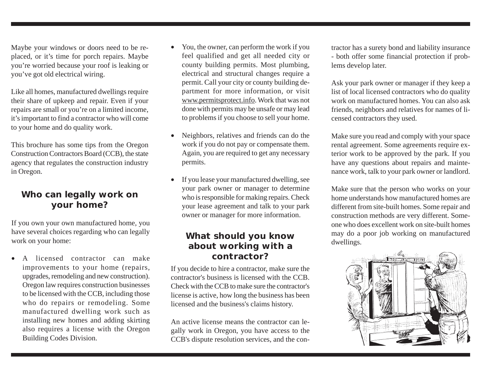Maybe your windows or doors need to be replaced, or it's time for porch repairs. Maybe you're worried because your roof is leaking or you've got old electrical wiring.

Like all homes, manufactured dwellings require their share of upkeep and repair. Even if your repairs are small or you're on a limited income, it's important to find a contractor who will come to your home and do quality work.

This brochure has some tips from the Oregon Construction Contractors Board (CCB), the state agency that regulates the construction industry in Oregon.

## **Who can legally work on your home?**

If you own your own manufactured home, you have several choices regarding who can legally work on your home:

A licensed contractor can make improvements to your home (repairs, upgrades, remodeling and new construction). Oregon law requires construction businesses to be licensed with the CCB, including those who do repairs or remodeling. Some manufactured dwelling work such as installing new homes and adding skirting also requires a license with the Oregon Building Codes Division.

- You, the owner, can perform the work if you feel qualified and get all needed city or county building permits. Most plumbing, electrical and structural changes require a permit. Call your city or county building department for more information, or visit www.permitsprotect.info. Work that was not done with permits may be unsafe or may lead to problems if you choose to sell your home.
- Neighbors, relatives and friends can do the work if you do not pay or compensate them. Again, you are required to get any necessary permits.
- If you lease your manufactured dwelling, see your park owner or manager to determine who is responsible for making repairs. Check your lease agreement and talk to your park owner or manager for more information.

### **What should you know about working with a contractor?**

If you decide to hire a contractor, make sure the contractor's business is licensed with the CCB. Check with the CCB to make sure the contractor's license is active, how long the business has been licensed and the business's claims history.

An active license means the contractor can legally work in Oregon, you have access to the CCB's dispute resolution services, and the contractor has a surety bond and liability insurance - both offer some financial protection if problems develop later.

Ask your park owner or manager if they keep a list of local licensed contractors who do quality work on manufactured homes. You can also ask friends, neighbors and relatives for names of licensed contractors they used.

Make sure you read and comply with your space rental agreement. Some agreements require exterior work to be approved by the park. If you have any questions about repairs and maintenance work, talk to your park owner or landlord.

Make sure that the person who works on your home understands how manufactured homes are different from site-built homes. Some repair and construction methods are very different. Someone who does excellent work on site-built homes may do a poor job working on manufactured dwellings.